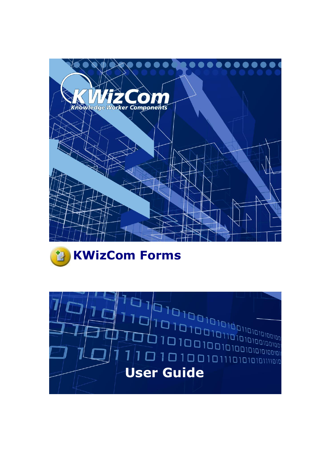



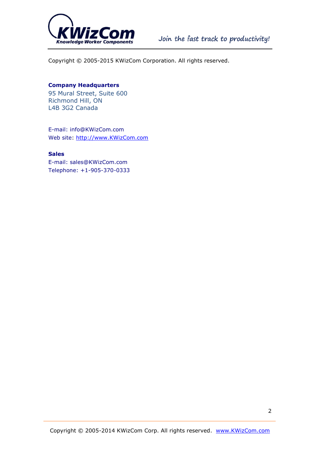

Copyright © 2005-2015 KWizCom Corporation. All rights reserved.

#### **Company Headquarters**

95 Mural Street, Suite 600 Richmond Hill, ON L4B 3G2 Canada

E-mail: info@KWizCom.com Web site: [http://www.KWizCom.com](http://www.kwizcom.com/)

#### **Sales**

E-mail: sales@KWizCom.com Telephone: +1-905-370-0333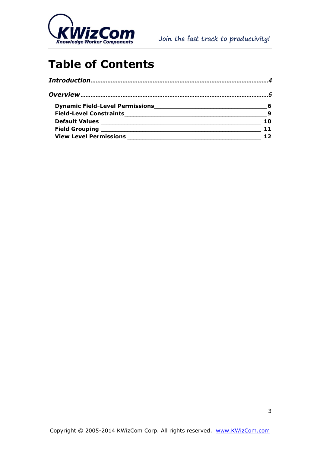

## **Table of Contents**

| Dynamic Field-Level Permissions Manuscriptus and Communications of the Dynamic Bulletin and Communications and | 6   |
|----------------------------------------------------------------------------------------------------------------|-----|
| <b>Field-Level Constraints</b>                                                                                 | - 9 |
|                                                                                                                | 1 N |
| <b>Field Grouping</b>                                                                                          |     |
| <b>View Level Permissions</b>                                                                                  |     |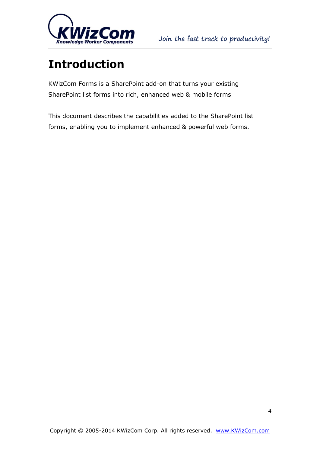

# <span id="page-3-0"></span>**Introduction**

KWizCom Forms is a SharePoint add-on that turns your existing SharePoint list forms into rich, enhanced web & mobile forms

This document describes the capabilities added to the SharePoint list forms, enabling you to implement enhanced & powerful web forms.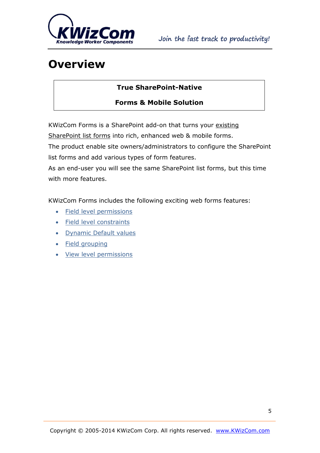

## <span id="page-4-0"></span>**Overview**

#### **True SharePoint-Native**

#### **Forms & Mobile Solution**

KWizCom Forms is a SharePoint add-on that turns your existing

SharePoint list forms into rich, enhanced web & mobile forms.

The product enable site owners/administrators to configure the SharePoint list forms and add various types of form features.

As an end-user you will see the same SharePoint list forms, but this time with more features.

KWizCom Forms includes the following exciting web forms features:

- Field level permissions
- Field level constraints
- Dynamic Default values
- Field grouping
- View level permissions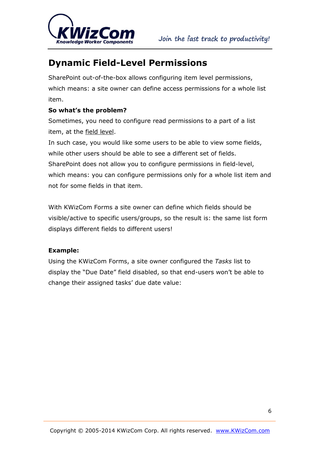

### <span id="page-5-0"></span>**Dynamic Field-Level Permissions**

SharePoint out-of-the-box allows configuring item level permissions, which means: a site owner can define access permissions for a whole list item.

#### **So what's the problem?**

Sometimes, you need to configure read permissions to a part of a list item, at the field level.

In such case, you would like some users to be able to view some fields, while other users should be able to see a different set of fields. SharePoint does not allow you to configure permissions in field-level, which means: you can configure permissions only for a whole list item and not for some fields in that item.

With KWizCom Forms a site owner can define which fields should be visible/active to specific users/groups, so the result is: the same list form displays different fields to different users!

#### **Example:**

Using the KWizCom Forms, a site owner configured the *Tasks* list to display the "Due Date" field disabled, so that end-users won't be able to change their assigned tasks' due date value: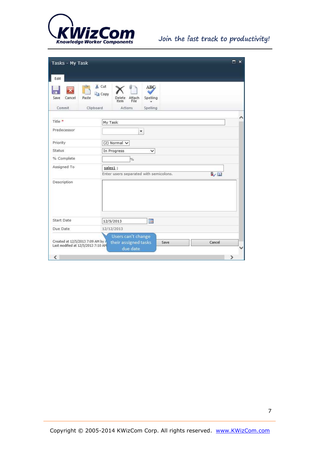

### Join the fast track to productivity!

| Tasks - My Task                                                         |                                                                                 | $\square$ $\times$ |  |  |
|-------------------------------------------------------------------------|---------------------------------------------------------------------------------|--------------------|--|--|
| Edit                                                                    |                                                                                 |                    |  |  |
| Save<br>Cancel<br>Paste                                                 | & Cut<br><b>ABC</b><br><b>Copy</b><br>Spelling<br>Delete Attach<br>File<br>Item |                    |  |  |
| Commit<br>Clipboard                                                     | Actions<br>Spelling                                                             |                    |  |  |
| Title *                                                                 | My Task                                                                         | é                  |  |  |
| Predecessor                                                             | ۳                                                                               |                    |  |  |
| Priority                                                                | $(2)$ Normal $\vee$                                                             |                    |  |  |
| <b>Status</b>                                                           | In Progress<br>✓                                                                |                    |  |  |
| % Complete                                                              | $\frac{p}{\alpha}$                                                              |                    |  |  |
| Assigned To                                                             | sales1;                                                                         |                    |  |  |
|                                                                         | Enter users separated with semicolons.                                          | $\sqrt{1}$         |  |  |
| Description                                                             |                                                                                 |                    |  |  |
| Start Date                                                              | ■<br>12/5/2013                                                                  |                    |  |  |
| Due Date                                                                | 12/12/2013                                                                      |                    |  |  |
| Created at 12/5/2013 7:09 AM by A<br>Last modified at 12/5/2013 7:10 AM | Users can't change<br>their assigned tasks<br>Save<br>due date                  | Cancel             |  |  |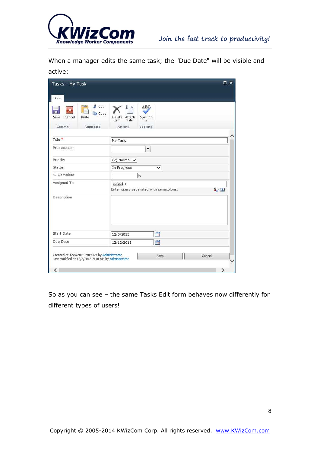

When a manager edits the same task; the "Due Date" will be visible and active:

| & Cut<br><b>Copy</b><br>Save<br>Cancel<br>Paste | <b>ABC</b><br>Spelling<br>Attach<br>Delete<br>File<br>Item      |  |  |  |
|-------------------------------------------------|-----------------------------------------------------------------|--|--|--|
| Commit<br>Clipboard                             | <b>Actions</b><br>Spelling                                      |  |  |  |
| Title *                                         | My Task                                                         |  |  |  |
| Predecessor                                     | $\overline{\phantom{a}}$                                        |  |  |  |
| Priority                                        | $(2)$ Normal $\vee$                                             |  |  |  |
| <b>Status</b>                                   | In Progress<br>$\checkmark$                                     |  |  |  |
| % Complete                                      | $\frac{1}{2}$                                                   |  |  |  |
| Assigned To                                     | sales1;<br>$\sqrt{2}$<br>Enter users separated with semicolons, |  |  |  |
| Description                                     |                                                                 |  |  |  |
| Start Date                                      | m<br>12/5/2013                                                  |  |  |  |
| Due Date                                        | m<br>12/12/2013                                                 |  |  |  |

So as you can see – the same Tasks Edit form behaves now differently for different types of users!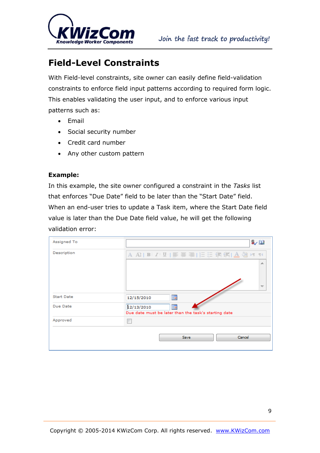

### <span id="page-8-0"></span>**Field-Level Constraints**

With Field-level constraints, site owner can easily define field-validation constraints to enforce field input patterns according to required form logic. This enables validating the user input, and to enforce various input patterns such as:

- Email
- Social security number
- Credit card number
- Any other custom pattern

#### **Example:**

In this example, the site owner configured a constraint in the *Tasks* list that enforces "Due Date" field to be later than the "Start Date" field. When an end-user tries to update a Task item, where the Start Date field value is later than the Due Date field value, he will get the following validation error:

| Assigned To       |                                                                         | $\sim$ 10 |
|-------------------|-------------------------------------------------------------------------|-----------|
| Description       |                                                                         | ∸<br>₩    |
|                   |                                                                         |           |
| <b>Start Date</b> | Ħ<br>12/15/2010                                                         |           |
| Due Date          | I<br>12/13/2010<br>Due date must be later than the task's starting date |           |
| Approved          |                                                                         |           |
|                   | Cancel<br>Save                                                          |           |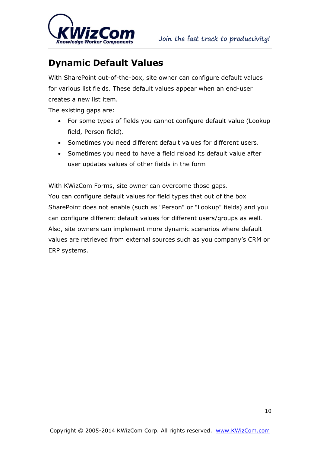

### <span id="page-9-0"></span>**Dynamic Default Values**

With SharePoint out-of-the-box, site owner can configure default values for various list fields. These default values appear when an end-user creates a new list item.

The existing gaps are:

- For some types of fields you cannot configure default value (Lookup field, Person field).
- Sometimes you need different default values for different users.
- Sometimes you need to have a field reload its default value after user updates values of other fields in the form

With KWizCom Forms, site owner can overcome those gaps. You can configure default values for field types that out of the box SharePoint does not enable (such as "Person" or "Lookup" fields) and you can configure different default values for different users/groups as well. Also, site owners can implement more dynamic scenarios where default values are retrieved from external sources such as you company's CRM or ERP systems.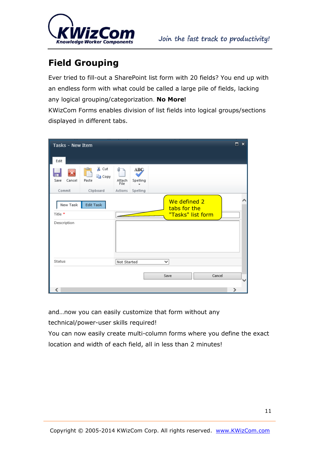

### <span id="page-10-0"></span>**Field Grouping**

Ever tried to fill-out a SharePoint list form with 20 fields? You end up with an endless form with what could be called a large pile of fields, lacking any logical grouping/categorization. **No More!**

KWizCom Forms enables division of list fields into logical groups/sections displayed in different tabs.

| Tasks - New Item                   |                                |                          |                 |   |                              |                   |        | □<br>$\boldsymbol{\times}$ |  |
|------------------------------------|--------------------------------|--------------------------|-----------------|---|------------------------------|-------------------|--------|----------------------------|--|
| Edit                               |                                |                          |                 |   |                              |                   |        |                            |  |
| Cancel<br>Save                     | & Cut<br>ک<br>la Copy<br>Paste | Ū<br>ь<br>Attach<br>File | ABÇ<br>Spelling |   |                              |                   |        |                            |  |
| Commit                             | Clipboard                      | Actions                  | Spelling        |   |                              |                   |        |                            |  |
| New Task<br>Title *<br>Description | Edit Task                      |                          |                 |   | We defined 2<br>tabs for the | "Tasks" list form |        |                            |  |
| Status                             |                                | Not Started              |                 | v |                              |                   |        |                            |  |
|                                    |                                |                          |                 |   |                              |                   |        |                            |  |
|                                    |                                |                          |                 |   | Save                         |                   | Cancel |                            |  |
| ∢                                  |                                |                          |                 |   |                              |                   |        | ⋗                          |  |

and…now you can easily customize that form without any

technical/power-user skills required!

You can now easily create multi-column forms where you define the exact location and width of each field, all in less than 2 minutes!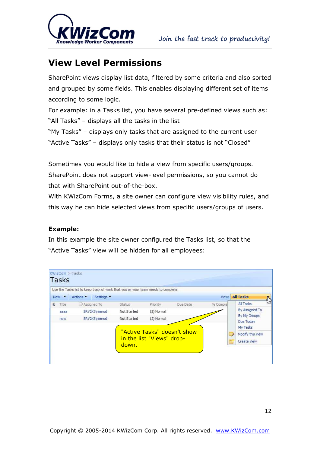

### <span id="page-11-0"></span>**View Level Permissions**

SharePoint views display list data, filtered by some criteria and also sorted and grouped by some fields. This enables displaying different set of items according to some logic.

For example: in a Tasks list, you have several pre-defined views such as: "All Tasks" – displays all the tasks in the list

"My Tasks" – displays only tasks that are assigned to the current user "Active Tasks" – displays only tasks that their status is not "Closed"

Sometimes you would like to hide a view from specific users/groups. SharePoint does not support view-level permissions, so you cannot do that with SharePoint out-of-the-box.

With KWizCom Forms, a site owner can configure view visibility rules, and this way he can hide selected views from specific users/groups of users.

#### **Example:**

In this example the site owner configured the Tasks list, so that the "Active Tasks" view will be hidden for all employees: